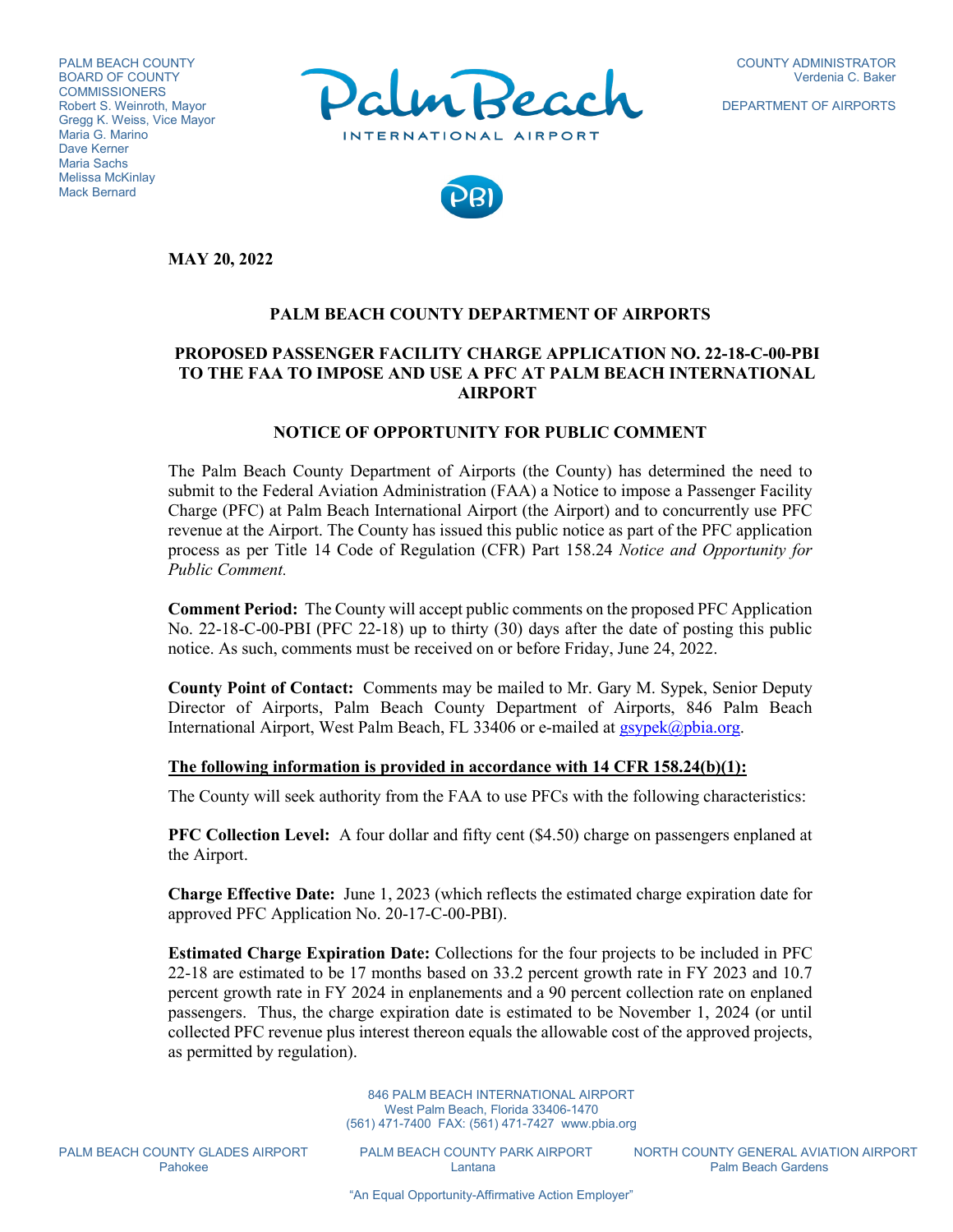PALM BEACH COUNTY BOARD OF COUNTY **COMMISSIONERS** Robert S. Weinroth, Mayor Gregg K. Weiss, Vice Mayor Maria G. Marino Dave Kerner Maria Sachs Melissa McKinlay Mack Bernard



DEPARTMENT OF AIRPORTS



**MAY 20, 2022**

## **PALM BEACH COUNTY DEPARTMENT OF AIRPORTS**

## **PROPOSED PASSENGER FACILITY CHARGE APPLICATION NO. 22-18-C-00-PBI TO THE FAA TO IMPOSE AND USE A PFC AT PALM BEACH INTERNATIONAL AIRPORT**

#### **NOTICE OF OPPORTUNITY FOR PUBLIC COMMENT**

The Palm Beach County Department of Airports (the County) has determined the need to submit to the Federal Aviation Administration (FAA) a Notice to impose a Passenger Facility Charge (PFC) at Palm Beach International Airport (the Airport) and to concurrently use PFC revenue at the Airport. The County has issued this public notice as part of the PFC application process as per Title 14 Code of Regulation (CFR) Part 158.24 *Notice and Opportunity for Public Comment.*

**Comment Period:** The County will accept public comments on the proposed PFC Application No. 22-18-C-00-PBI (PFC 22-18) up to thirty (30) days after the date of posting this public notice. As such, comments must be received on or before Friday, June 24, 2022.

**County Point of Contact:** Comments may be mailed to Mr. Gary M. Sypek, Senior Deputy Director of Airports, Palm Beach County Department of Airports, 846 Palm Beach International Airport, West Palm Beach, FL 33406 or e-mailed at [gsypek@pbia.org.](mailto:gsypek@pbia.org)

#### **The following information is provided in accordance with 14 CFR 158.24(b)(1):**

The County will seek authority from the FAA to use PFCs with the following characteristics:

**PFC Collection Level:** A four dollar and fifty cent (\$4.50) charge on passengers enplaned at the Airport.

**Charge Effective Date:** June 1, 2023 (which reflects the estimated charge expiration date for approved PFC Application No. 20-17-C-00-PBI).

**Estimated Charge Expiration Date:** Collections for the four projects to be included in PFC 22-18 are estimated to be 17 months based on 33.2 percent growth rate in FY 2023 and 10.7 percent growth rate in FY 2024 in enplanements and a 90 percent collection rate on enplaned passengers. Thus, the charge expiration date is estimated to be November 1, 2024 (or until collected PFC revenue plus interest thereon equals the allowable cost of the approved projects, as permitted by regulation).

> 846 PALM BEACH INTERNATIONAL AIRPORT West Palm Beach, Florida 33406-1470 (561) 471-7400 FAX: (561) 471-7427 www.pbia.org

PALM BEACH COUNTY GLADES AIRPORT PALM BEACH COUNTY PARK AIRPORT NORTH COUNTY GENERAL AVIATION AIRPORT<br>Palm Beach Gardens Palm Beach Gardens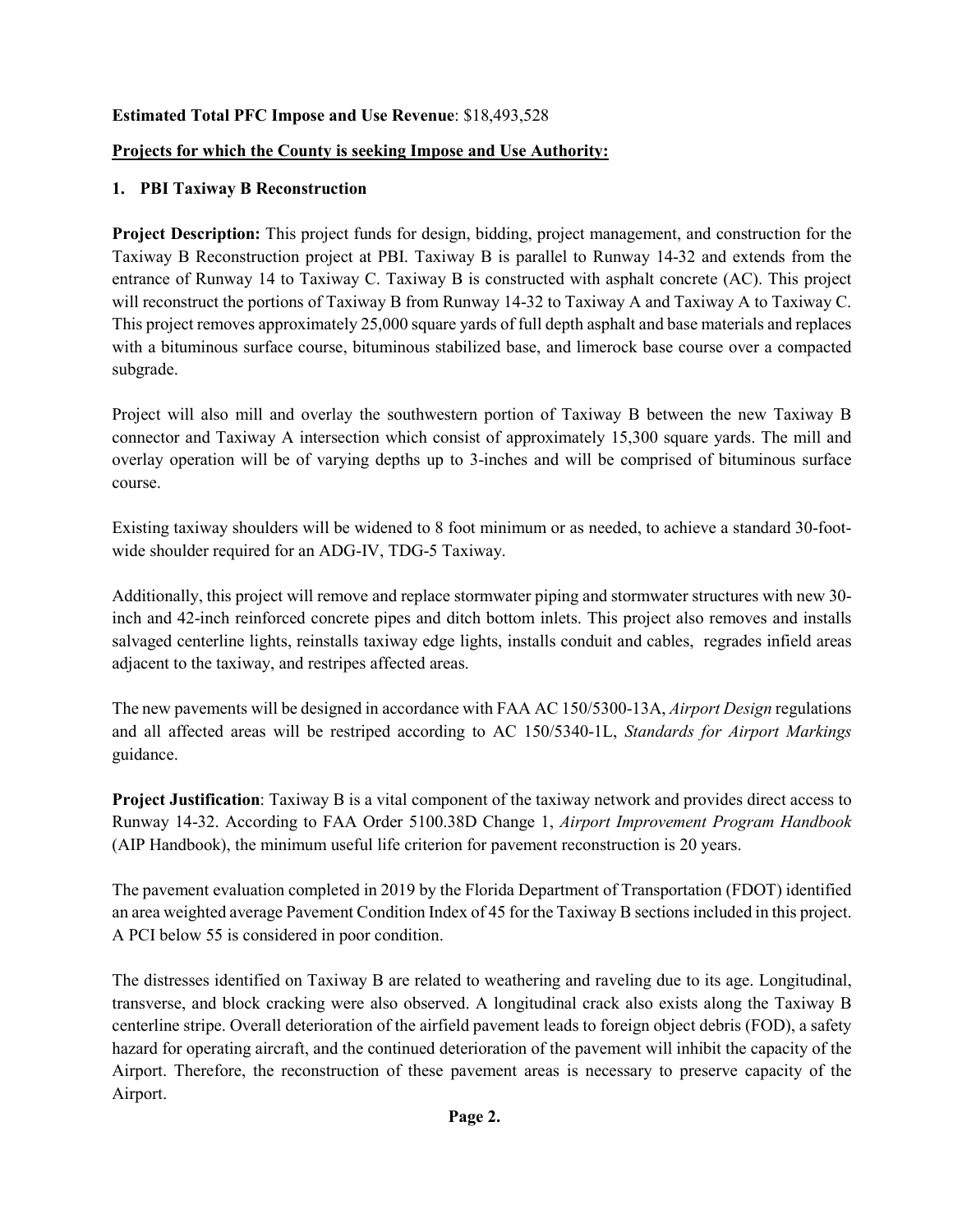# **Estimated Total PFC Impose and Use Revenue**: \$18,493,528

## **Projects for which the County is seeking Impose and Use Authority:**

## **1. PBI Taxiway B Reconstruction**

**Project Description:** This project funds for design, bidding, project management, and construction for the Taxiway B Reconstruction project at PBI. Taxiway B is parallel to Runway 14-32 and extends from the entrance of Runway 14 to Taxiway C. Taxiway B is constructed with asphalt concrete (AC). This project will reconstruct the portions of Taxiway B from Runway 14-32 to Taxiway A and Taxiway A to Taxiway C. This project removes approximately 25,000 square yards of full depth asphalt and base materials and replaces with a bituminous surface course, bituminous stabilized base, and limerock base course over a compacted subgrade.

Project will also mill and overlay the southwestern portion of Taxiway B between the new Taxiway B connector and Taxiway A intersection which consist of approximately 15,300 square yards. The mill and overlay operation will be of varying depths up to 3-inches and will be comprised of bituminous surface course.

Existing taxiway shoulders will be widened to 8 foot minimum or as needed, to achieve a standard 30-footwide shoulder required for an ADG-IV, TDG-5 Taxiway.

Additionally, this project will remove and replace stormwater piping and stormwater structures with new 30 inch and 42-inch reinforced concrete pipes and ditch bottom inlets. This project also removes and installs salvaged centerline lights, reinstalls taxiway edge lights, installs conduit and cables, regrades infield areas adjacent to the taxiway, and restripes affected areas.

The new pavements will be designed in accordance with FAA AC 150/5300-13A, *Airport Design* regulations and all affected areas will be restriped according to AC 150/5340-1L, *Standards for Airport Markings* guidance.

**Project Justification**: Taxiway B is a vital component of the taxiway network and provides direct access to Runway 14-32. According to FAA Order 5100.38D Change 1, *Airport Improvement Program Handbook* (AIP Handbook), the minimum useful life criterion for pavement reconstruction is 20 years.

The pavement evaluation completed in 2019 by the Florida Department of Transportation (FDOT) identified an area weighted average Pavement Condition Index of 45 for the Taxiway B sections included in this project. A PCI below 55 is considered in poor condition.

The distresses identified on Taxiway B are related to weathering and raveling due to its age. Longitudinal, transverse, and block cracking were also observed. A longitudinal crack also exists along the Taxiway B centerline stripe. Overall deterioration of the airfield pavement leads to foreign object debris (FOD), a safety hazard for operating aircraft, and the continued deterioration of the pavement will inhibit the capacity of the Airport. Therefore, the reconstruction of these pavement areas is necessary to preserve capacity of the Airport.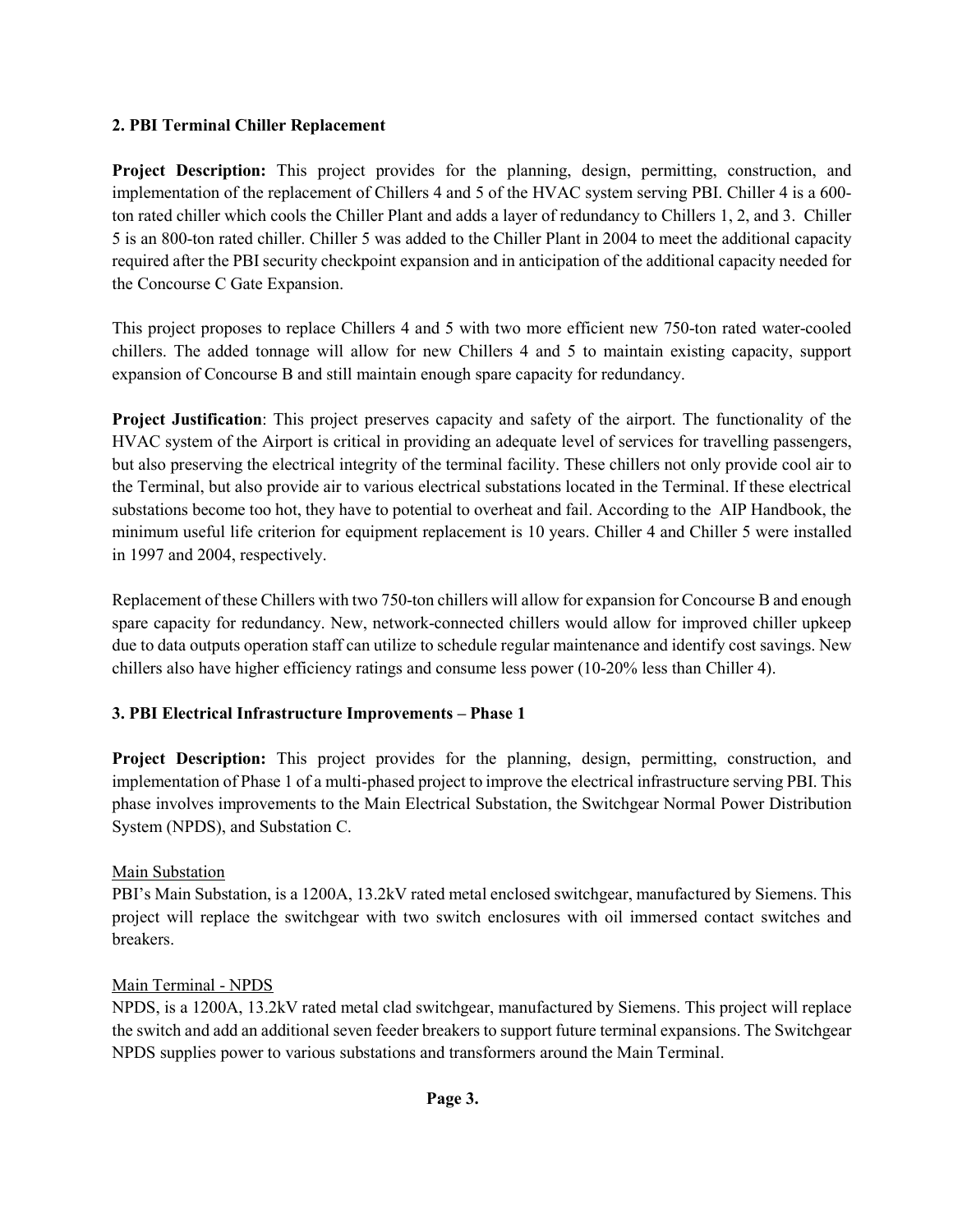# **2. PBI Terminal Chiller Replacement**

**Project Description:** This project provides for the planning, design, permitting, construction, and implementation of the replacement of Chillers 4 and 5 of the HVAC system serving PBI. Chiller 4 is a 600 ton rated chiller which cools the Chiller Plant and adds a layer of redundancy to Chillers 1, 2, and 3. Chiller 5 is an 800-ton rated chiller. Chiller 5 was added to the Chiller Plant in 2004 to meet the additional capacity required after the PBI security checkpoint expansion and in anticipation of the additional capacity needed for the Concourse C Gate Expansion.

This project proposes to replace Chillers 4 and 5 with two more efficient new 750-ton rated water-cooled chillers. The added tonnage will allow for new Chillers 4 and 5 to maintain existing capacity, support expansion of Concourse B and still maintain enough spare capacity for redundancy.

**Project Justification**: This project preserves capacity and safety of the airport. The functionality of the HVAC system of the Airport is critical in providing an adequate level of services for travelling passengers, but also preserving the electrical integrity of the terminal facility. These chillers not only provide cool air to the Terminal, but also provide air to various electrical substations located in the Terminal. If these electrical substations become too hot, they have to potential to overheat and fail. According to the AIP Handbook, the minimum useful life criterion for equipment replacement is 10 years. Chiller 4 and Chiller 5 were installed in 1997 and 2004, respectively.

Replacement of these Chillers with two 750-ton chillers will allow for expansion for Concourse B and enough spare capacity for redundancy. New, network-connected chillers would allow for improved chiller upkeep due to data outputs operation staff can utilize to schedule regular maintenance and identify cost savings. New chillers also have higher efficiency ratings and consume less power (10-20% less than Chiller 4).

# **3. PBI Electrical Infrastructure Improvements – Phase 1**

**Project Description:** This project provides for the planning, design, permitting, construction, and implementation of Phase 1 of a multi-phased project to improve the electrical infrastructure serving PBI. This phase involves improvements to the Main Electrical Substation, the Switchgear Normal Power Distribution System (NPDS), and Substation C.

# Main Substation

PBI's Main Substation, is a 1200A, 13.2kV rated metal enclosed switchgear, manufactured by Siemens. This project will replace the switchgear with two switch enclosures with oil immersed contact switches and breakers.

## Main Terminal - NPDS

NPDS, is a 1200A, 13.2kV rated metal clad switchgear, manufactured by Siemens. This project will replace the switch and add an additional seven feeder breakers to support future terminal expansions. The Switchgear NPDS supplies power to various substations and transformers around the Main Terminal.